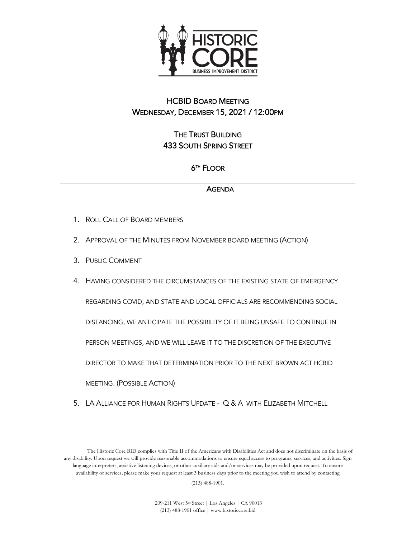

## HCBID BOARD MEETING WEDNESDAY, DECEMBER 15, 2021 / 12:00PM

THE TRUST BUILDING 433 SOUTH SPRING STREET

## 6TH FLOOR

## **AGENDA**

- 1. ROLL CALL OF BOARD MEMBERS
- 2. APPROVAL OF THE MINUTES FROM NOVEMBER BOARD MEETING (ACTION)
- 3. PUBLIC COMMENT
- 4. HAVING CONSIDERED THE CIRCUMSTANCES OF THE EXISTING STATE OF EMERGENCY REGARDING COVID, AND STATE AND LOCAL OFFICIALS ARE RECOMMENDING SOCIAL DISTANCING, WE ANTICIPATE THE POSSIBILITY OF IT BEING UNSAFE TO CONTINUE IN PERSON MEETINGS, AND WE WILL LEAVE IT TO THE DISCRETION OF THE EXECUTIVE DIRECTOR TO MAKE THAT DETERMINATION PRIOR TO THE NEXT BROWN ACT HCBID MEETING. (POSSIBLE ACTION)
- 5. LA ALLIANCE FOR HUMAN RIGHTS UPDATE Q & A WITH ELIZABETH MITCHELL

The Historic Core BID complies with Title II of the Americans with Disabilities Act and does not discriminate on the basis of any disability. Upon request we will provide reasonable accommodations to ensure equal access to programs, services, and activities. Sign language interpreters, assistive listening devices, or other auxiliary aids and/or services may be provided upon request. To ensure availability of services, please make your request at least 3 business days prior to the meeting you wish to attend by contacting (213) 488-1901.